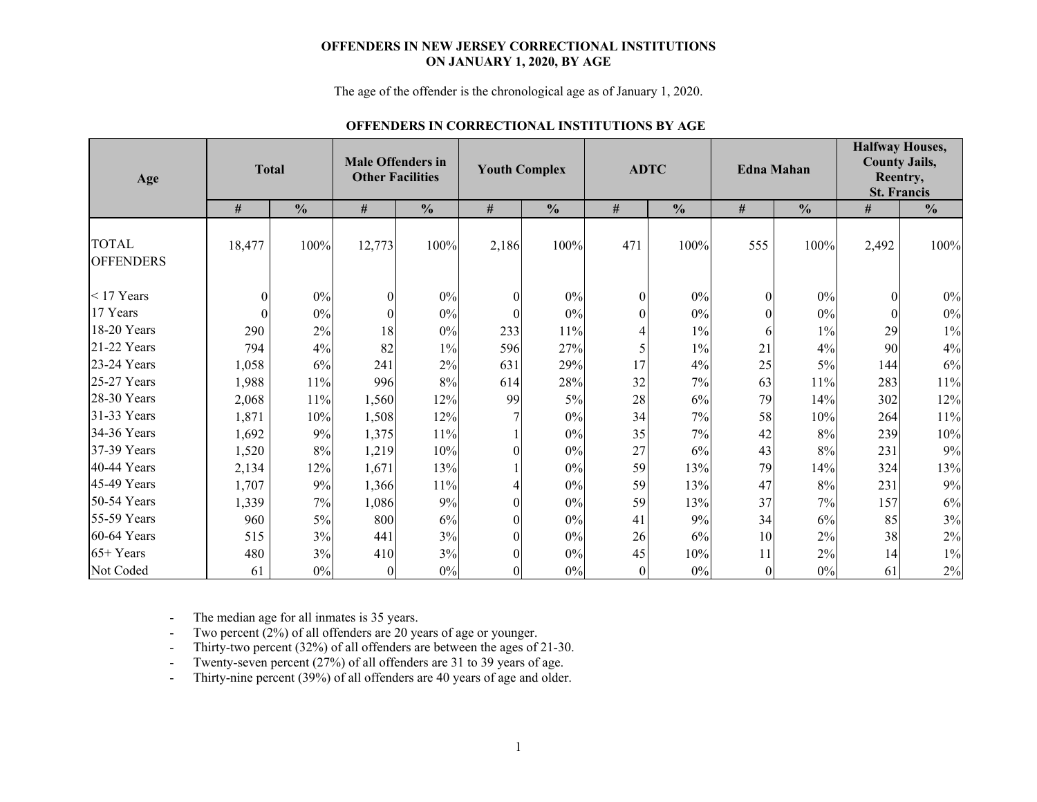### **OFFENDERS IN NEW JERSEY CORRECTIONAL INSTITUTIONS ON JANUARY 1, 2020, BY AGE**

The age of the offender is the chronological age as of January 1, 2020.

## **OFFENDERS IN CORRECTIONAL INSTITUTIONS BY AGE**

| Age                              | <b>Total</b> |               | <b>Male Offenders in</b><br><b>Other Facilities</b> |               | <b>Youth Complex</b> |               |          | <b>ADTC</b>   |                  | <b>Edna Mahan</b> | <b>Halfway Houses,</b><br><b>County Jails,</b><br>Reentry,<br><b>St. Francis</b> |               |  |  |
|----------------------------------|--------------|---------------|-----------------------------------------------------|---------------|----------------------|---------------|----------|---------------|------------------|-------------------|----------------------------------------------------------------------------------|---------------|--|--|
|                                  | #            | $\frac{0}{0}$ | #                                                   | $\frac{0}{0}$ | $\#$                 | $\frac{0}{0}$ | #        | $\frac{0}{0}$ | #                | $\frac{0}{0}$     | $\#$                                                                             | $\frac{0}{0}$ |  |  |
| <b>TOTAL</b><br><b>OFFENDERS</b> | 18,477       | 100%          | 12,773                                              | 100%          | 2,186                | 100%          | 471      | 100%          | 555              | 100%              | 2,492                                                                            | 100%          |  |  |
| $<$ 17 Years                     | $\theta$     | $0\%$         | $\Omega$                                            | $0\%$         | $\Omega$             | 0%            | $\Omega$ | 0%            | $\boldsymbol{0}$ | $0\%$             | $\Omega$                                                                         | 0%            |  |  |
| 17 Years                         | $\theta$     | $0\%$         | $\Omega$                                            | $0\%$         | $\mathbf{0}$         | $0\%$         |          | 0%            | $\boldsymbol{0}$ | $0\%$             | $\theta$                                                                         | $0\%$         |  |  |
| 18-20 Years                      | 290          | 2%            | 18                                                  | 0%            | 233                  | 11%           |          | $1\%$         | 6                | $1\%$             | 29                                                                               | $1\%$         |  |  |
| 21-22 Years                      | 794          | 4%            | 82                                                  | $1\%$         | 596                  | 27%           | 5        | $1\%$         | 21               | 4%                | 90                                                                               | 4%            |  |  |
| 23-24 Years                      | 1,058        | $6\%$         | 241                                                 | 2%            | 631                  | 29%           | 17       | $4\%$         | 25               | $5\%$             | 144                                                                              | $6\%$         |  |  |
| $25-27$ Years                    | 1,988        | 11%           | 996                                                 | 8%            | 614                  | 28%           | 32       | 7%            | 63               | 11%               | 283                                                                              | 11%           |  |  |
| 28-30 Years                      | 2,068        | 11%           | 1,560                                               | 12%           | 99                   | 5%            | 28       | 6%            | 79               | 14%               | 302                                                                              | 12%           |  |  |
| 31-33 Years                      | 1,871        | 10%           | 1,508                                               | 12%           |                      | 0%            | 34       | 7%            | 58               | 10%               | 264                                                                              | $11\%$        |  |  |
| 34-36 Years                      | 1,692        | 9%            | 1,375                                               | 11%           |                      | $0\%$         | 35       | 7%            | 42               | $8\%$             | 239                                                                              | 10%           |  |  |
| 37-39 Years                      | 1,520        | 8%            | 1,219                                               | 10%           | $\Omega$             | 0%            | 27       | 6%            | 43               | $8\%$             | 231                                                                              | 9%            |  |  |
| 40-44 Years                      | 2,134        | 12%           | 1,671                                               | 13%           |                      | 0%            | 59       | 13%           | 79               | 14%               | 324                                                                              | 13%           |  |  |
| 45-49 Years                      | 1,707        | 9%            | 1,366                                               | 11%           |                      | 0%            | 59       | 13%           | 47               | 8%                | 231                                                                              | 9%            |  |  |
| 50-54 Years                      | 1,339        | 7%            | 1,086                                               | 9%            | $\theta$             | 0%            | 59       | 13%           | 37               | 7%                | 157                                                                              | $6\%$         |  |  |
| 55-59 Years                      | 960          | $5\%$         | 800                                                 | 6%            | $\theta$             | 0%            | 41       | 9%            | 34               | 6%                | 85                                                                               | 3%            |  |  |
| 60-64 Years                      | 515          | 3%            | 441                                                 | 3%            | 0                    | 0%            | 26       | 6%            | 10               | 2%                | 38                                                                               | $2\%$         |  |  |
| 65+ Years                        | 480          | 3%            | 410                                                 | 3%            | $\Omega$             | $0\%$         | 45       | 10%           | 11               | 2%                | 14                                                                               | $1\%$         |  |  |
| Not Coded                        | 61           | $0\%$         | 0                                                   | 0%            | $\Omega$             | $0\%$         | $\Omega$ | 0%            | $\theta$         | $0\%$             | 61                                                                               | $2\%$         |  |  |

-The median age for all inmates is 35 years.

-Two percent (2%) of all offenders are 20 years of age or younger.

-Thirty-two percent (32%) of all offenders are between the ages of 21-30.

-Twenty-seven percent (27%) of all offenders are 31 to 39 years of age.

-Thirty-nine percent (39%) of all offenders are 40 years of age and older.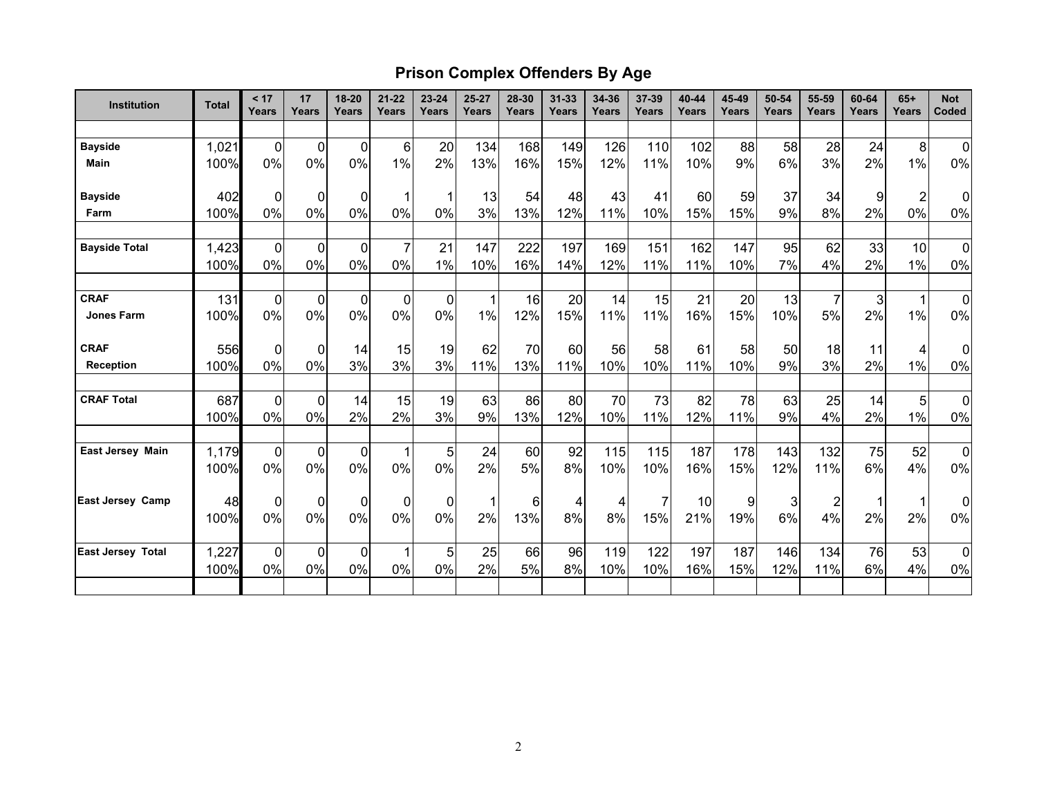# **Prison Complex Offenders By Age**

| <b>Institution</b>       | <b>Total</b> | < 17<br>Years | 17<br>Years    | 18-20<br>Years | $21 - 22$<br>Years | $23 - 24$<br>Years | 25-27<br>Years | 28-30<br>Years | $31 - 33$<br>Years | 34-36<br>Years | 37-39<br>Years | 40-44<br>Years | 45-49<br><b>Years</b> | 50-54<br>Years | 55-59<br>Years | 60-64<br>Years | $65+$<br>Years | <b>Not</b><br>Coded |
|--------------------------|--------------|---------------|----------------|----------------|--------------------|--------------------|----------------|----------------|--------------------|----------------|----------------|----------------|-----------------------|----------------|----------------|----------------|----------------|---------------------|
|                          |              |               |                |                |                    |                    |                |                |                    |                |                |                |                       |                |                |                |                |                     |
| <b>Bayside</b>           | 1,021        | $\mathbf 0$   | $\mathbf 0$    | $\mathbf 0$    | 6                  | 20                 | 134            | 168            | 149                | 126            | 110            | 102            | 88                    | 58             | 28             | 24             | 8              | $\overline{0}$      |
| <b>Main</b>              | 100%         | 0%            | 0%             | 0%             | 1%                 | 2%                 | 13%            | 16%            | 15%                | 12%            | 11%            | 10%            | 9%                    | 6%             | 3%             | 2%             | 1%             | 0%                  |
| <b>Bayside</b>           | 402          | 0             | $\overline{0}$ | $\mathbf 0$    |                    |                    | 13             | 54             | 48                 | 43             | 41             | 60             | 59                    | 37             | 34             | 9              | $\overline{2}$ | $\overline{0}$      |
| Farm                     | 100%         | 0%            | 0%             | 0%             | $0\%$              | 0%                 | 3%             | 13%            | 12%                | 11%            | 10%            | 15%            | 15%                   | 9%             | 8%             | 2%             | 0%             | 0%                  |
| <b>Bayside Total</b>     | 1,423        | 0             | $\mathbf 0$    | $\mathbf 0$    | $\overline{7}$     | 21                 | 147            | 222            | 197                | 169            | 151            | 162            | 147                   | 95             | 62             | 33             | 10             | $\overline{0}$      |
|                          | 100%         | 0%            | 0%             | 0%             | 0%                 | 1%                 | 10%            | 16%            | 14%                | 12%            | 11%            | 11%            | 10%                   | 7%             | 4%             | 2%             | 1%             | $0\%$               |
| <b>CRAF</b>              | 131          | $\mathbf 0$   | $\mathbf 0$    | $\overline{0}$ | $\mathbf 0$        | $\mathbf 0$        |                | 16             | 20                 | 14             | 15             | 21             | 20                    | 13             | $\overline{7}$ | 3              | 1              | $\Omega$            |
| <b>Jones Farm</b>        | 100%         | 0%            | 0%             | 0%             | $0\%$              | 0%                 | $1\%$          | 12%            | 15%                | 11%            | 11%            | 16%            | 15%                   | 10%            | 5%             | 2%             | 1%             | 0%                  |
| <b>CRAF</b>              | 556          | $\mathbf 0$   | 0              | 14             | 15                 | 19                 | 62             | 70             | 60                 | 56             | 58             | 61             | 58                    | 50             | 18             | 11             | 4              | $\overline{0}$      |
| Reception                | 100%         | 0%            | 0%             | 3%             | 3%                 | 3%                 | 11%            | 13%            | 11%                | 10%            | 10%            | 11%            | 10%                   | 9%             | 3%             | 2%             | 1%             | $0\%$               |
| <b>CRAF Total</b>        | 687          | 0             | $\overline{0}$ | 14             | 15                 | 19                 | 63             | 86             | 80                 | 70             | 73             | 82             | 78                    | 63             | 25             | 14             | 5              | $\overline{0}$      |
|                          | 100%         | 0%            | 0%             | 2%             | 2%                 | 3%                 | 9%             | 13%            | 12%                | 10%            | 11%            | 12%            | 11%                   | 9%             | 4%             | 2%             | 1%             | 0%                  |
| <b>East Jersey Main</b>  | 1,179        | $\mathbf 0$   | $\overline{0}$ | $\mathbf 0$    |                    | 5                  | 24             | 60             | 92                 | 115            | 115            | 187            | 178                   | 143            | 132            | 75             | 52             | $\overline{0}$      |
|                          | 100%         | 0%            | 0%             | 0%             | 0%                 | 0%                 | 2%             | 5%             | 8%                 | 10%            | 10%            | 16%            | 15%                   | 12%            | 11%            | 6%             | 4%             | 0%                  |
| <b>East Jersey Camp</b>  | 48           | $\mathbf 0$   | $\overline{0}$ | $\Omega$       | $\Omega$           | $\mathbf 0$        |                | 6              | 4                  | 4              | $\overline{7}$ | 10             | 9                     | 3              | $\overline{2}$ | 1              | 1              | $\overline{0}$      |
|                          | 100%         | 0%            | 0%             | 0%             | $0\%$              | 0%                 | 2%             | 13%            | 8%                 | 8%             | 15%            | 21%            | 19%                   | 6%             | 4%             | 2%             | 2%             | 0%                  |
| <b>East Jersey Total</b> | 1,227        | $\pmb{0}$     | $\overline{0}$ | $\mathbf 0$    |                    | 5                  | 25             | 66             | 96                 | 119            | 122            | 197            | 187                   | 146            | 134            | 76             | 53             | $\Omega$            |
|                          | 100%         | 0%            | 0%             | 0%             | 0%                 | 0%                 | 2%             | 5%             | 8%                 | 10%            | 10%            | 16%            | 15%                   | 12%            | 11%            | 6%             | 4%             | $0\%$               |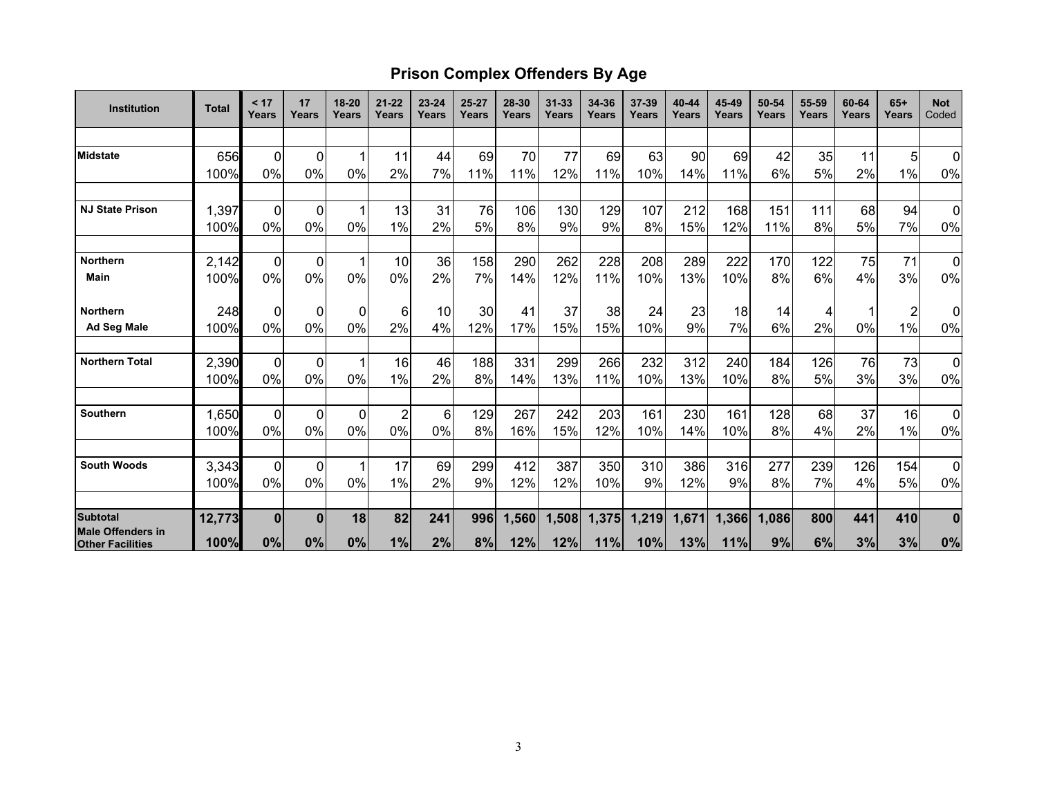# **Prison Complex Offenders By Age**

| <b>Institution</b>                                  | <b>Total</b>  | < 17<br>Years | 17<br>Years      | 18-20<br>Years | $21 - 22$<br>Years | 23-24<br>Years | $25 - 27$<br>Years | 28-30<br>Years | $31 - 33$<br>Years | 34-36<br>Years | 37-39<br>Years | 40-44<br>Years | 45-49<br>Years | 50-54<br>Years | 55-59<br>Years | 60-64<br>Years | $65+$<br>Years | <b>Not</b><br>Coded  |
|-----------------------------------------------------|---------------|---------------|------------------|----------------|--------------------|----------------|--------------------|----------------|--------------------|----------------|----------------|----------------|----------------|----------------|----------------|----------------|----------------|----------------------|
|                                                     |               |               |                  |                |                    |                |                    |                |                    |                |                |                |                |                |                |                |                |                      |
| <b>Midstate</b>                                     | 656           | 0             | 0                | 1              | 11                 | 44             | 69                 | 70             | 77                 | 69             | 63             | 90             | 69             | 42             | 35             | 11             | 5              | 0                    |
|                                                     | 100%          | 0%            | 0%               | 0%             | 2%                 | 7%             | 11%                | 11%            | 12%                | 11%            | 10%            | 14%            | 11%            | 6%             | 5%             | 2%             | $1\%$          | 0%                   |
|                                                     |               |               |                  |                |                    |                |                    |                |                    |                |                |                |                |                |                |                |                |                      |
| <b>NJ State Prison</b>                              | 1,397         | 0             | $\mathbf 0$      |                | 13                 | 31             | 76                 | 106            | 130                | 129            | 107            | 212            | 168            | 151            | 111            | 68             | 94             | $\overline{0}$       |
|                                                     | 100%          | 0%            | 0%               | 0%             | 1%                 | 2%             | 5%                 | 8%             | 9%                 | 9%             | 8%             | 15%            | 12%            | 11%            | 8%             | 5%             | 7%             | $0\%$                |
| <b>Northern</b>                                     | 2,142         | 0             | 0                | $\mathbf 1$    | 10                 | 36             | 158                | 290            | 262                | 228            | 208            | 289            | 222            | 170            | 122            | 75             | 71             | $\overline{0}$       |
| Main                                                | 100%          | 0%            | 0%               | 0%             | 0%                 | 2%             | 7%                 | 14%            | 12%                | 11%            | 10%            | 13%            | 10%            | 8%             | 6%             | 4%             | 3%             | $0\%$                |
| <b>Northern</b>                                     | 248           | $\mathbf 0$   | 0                | $\mathbf 0$    | 6                  | 10             | 30                 | 41             | 37                 | 38             | 24             | 23             | 18             | 14             | 4              |                | $\overline{c}$ | 0                    |
| <b>Ad Seg Male</b>                                  | 100%          | 0%            | 0%               | 0%             | 2%                 | 4%             | 12%                | 17%            | 15%                | 15%            | 10%            | 9%             | 7%             | 6%             | 2%             | 0%             | 1%             | 0%                   |
| <b>Northern Total</b>                               |               |               |                  |                |                    |                |                    |                |                    |                |                |                |                |                |                |                |                |                      |
|                                                     | 2,390<br>100% | 0<br>0%       | 0<br>0%          | 0%             | 16<br>1%           | 46<br>2%       | 188<br>8%          | 331<br>14%     | 299<br>13%         | 266<br>11%     | 232<br>10%     | 312<br>13%     | 240<br>10%     | 184<br>8%      | 126<br>5%      | 76<br>3%       | 73<br>3%       | $\overline{0}$<br>0% |
|                                                     |               |               |                  |                |                    |                |                    |                |                    |                |                |                |                |                |                |                |                |                      |
| Southern                                            | 1,650         | 0             | 0                | $\pmb{0}$      | $\overline{2}$     | 6              | 129                | 267            | 242                | 203            | 161            | 230            | 161            | 128            | 68             | 37             | 16             | 0                    |
|                                                     | 100%          | 0%            | 0%               | 0%             | 0%                 | 0%             | 8%                 | 16%            | 15%                | 12%            | 10%            | 14%            | 10%            | 8%             | 4%             | 2%             | 1%             | 0%                   |
| <b>South Woods</b>                                  | 3,343         | 0             | 0                | 1              | 17                 | 69             | 299                | 412            | 387                | 350            | 310            | 386            | 316            | 277            | 239            | 126            | 154            | 0                    |
|                                                     | 100%          | 0%            | 0%               | 0%             | $1\%$              | 2%             | 9%                 | 12%            | 12%                | 10%            | 9%             | 12%            | 9%             | 8%             | 7%             | 4%             | 5%             | 0%                   |
|                                                     |               |               |                  |                |                    |                |                    |                |                    |                |                |                |                |                |                |                |                |                      |
| <b>Subtotal</b>                                     | 12,773        | $\bf{0}$      | $\boldsymbol{0}$ | 18             | 82                 | 241            | 996                | 1,560          | 1,508              | 1,375          | 1,219          | 1,671          | 1,366          | 1,086          | 800            | 441            | 410            | $\bf{0}$             |
| <b>Male Offenders in</b><br><b>Other Facilities</b> | 100%          | 0%            | 0%               | 0%             | 1%                 | 2%             | 8%                 | 12%            | 12%                | 11%            | 10%            | 13%            | 11%            | 9%             | 6%             | 3%             | 3%             | 0%                   |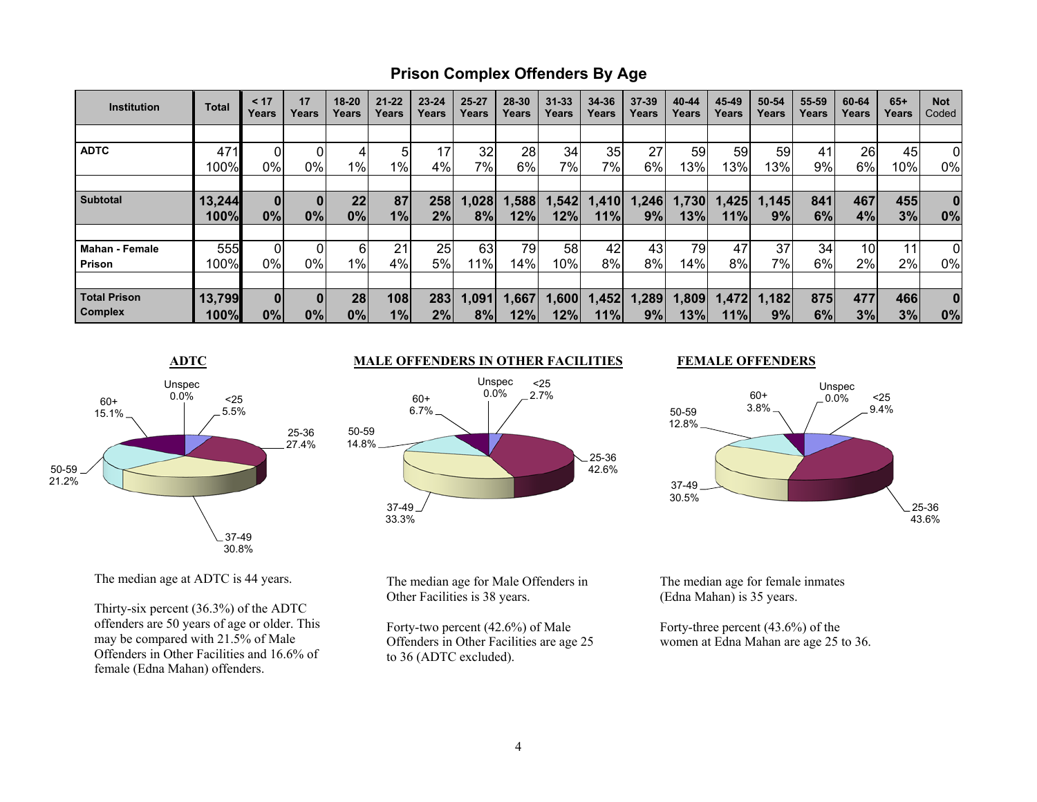## **Prison Complex Offenders By Age**

| <b>Institution</b>    | Total  | < 17<br>Years | 17<br>Years | 18-20<br>Years | $21 - 22$<br>Years | $23 - 24$<br>Years | 25-27<br>Years | 28-30<br>Years | $31 - 33$<br>Years | 34-36<br>Years | 37-39<br>Years | 40-44<br>Years | 45-49<br>Years | 50-54<br>Years | 55-59<br>Years | 60-64<br>Years | $65+$<br>Years | <b>Not</b><br>Coded |
|-----------------------|--------|---------------|-------------|----------------|--------------------|--------------------|----------------|----------------|--------------------|----------------|----------------|----------------|----------------|----------------|----------------|----------------|----------------|---------------------|
|                       |        |               |             |                |                    |                    |                |                |                    |                |                |                |                |                |                |                |                |                     |
| <b>ADTC</b>           | 471    |               |             |                | 5                  | 17                 | 32             | 28             | 34                 | 35             | 27             | 59             | 59             | 59             | 41             | 26             | 45             | 0                   |
|                       | 100%   | $0\%$         | $0\%$       | $1\%$          | $1\%$              | 4%                 | 7%             | 6%             | $7\%$              | 7%             | $6\%$          | 3%             | 13%            | 13%            | 9%             | 6%             | 10%            | 0%                  |
|                       |        |               |             |                |                    |                    |                |                |                    |                |                |                |                |                |                |                |                |                     |
| <b>Subtotal</b>       | 13,244 |               | 0           | 22             | 87                 | 258                | .028           | .588           | 1,542              | 1,410          | .2461          | 1,730          | .425           | 1,145          | 841            | 467            | 455            | $\bf{0}$            |
|                       | 100%   | 0%            | $0\%$       | 0%             | 1%                 | 2%                 | 8%             | 12%            | 12%                | 11%            | 9%             | 13%            | 11%            | 9%             | 6%             | 4%             | 3%             | 0%                  |
|                       |        |               |             |                |                    |                    |                |                |                    |                |                |                |                |                |                |                |                |                     |
| <b>Mahan - Female</b> | 555    | 0             |             | 6              | 21                 | 25                 | 63             | 79             | 58                 | 42             | 43             | 79             | 47             | 37             | 34             | 10             | 11             | 0                   |
| <b>Prison</b>         | 100%   | $0\%$         | 0%          | $1\%$          | 4%                 | 5%                 | 1%             | 14%            | 10%                | 8%             | 8%             | 14%            | 8%             | $7\%$          | 6%I            | 2%             | 2%             | 0%                  |
|                       |        |               |             |                |                    |                    |                |                |                    |                |                |                |                |                |                |                |                |                     |
| <b>Total Prison</b>   | 13,799 | $\bf{0}$      | $\bf{0}$    | 28             | 108                | 283                | 1,091          | 1,667          | 1,600              | 1,452          | ,289           | 1,809          | ,472           | 1,182          | 875            | 477            | 466            | $\bf{0}$            |
| <b>Complex</b>        | 100%l  | $0\%$         | 0%          | $0\%$          | 1%                 | 2%                 | 8%             | 12%            | 12%                | 11%            | 9%             | 13%l           | 11%            | 9%             | 6%             | 3%             | 3%             | 0%                  |

**ADTC MALE OFFENDERS IN OTHER FACILITIES** <25 5.5% 25-36 27.4% 37-49 30.8%50-59 21.2%60+15.1%Unspec  $0.0\%$ 

<25 2.7% 25-36 42.6%37-49 33.3%50-59 14.8% 60+ 6.7%Unspec 0.0%

**FEMALE OFFENDERS** 



The median age at ADTC is 44 years.

Thirty-six percent (36.3%) of the ADTC offenders are 50 years of age or older. This may be compared with 21.5% of Male Offenders in Other Facilities and 16.6% of female (Edna Mahan) offenders.

The median age for Male Offenders in Other Facilities is 38 years.

Forty-two percent (42.6%) of Male Offenders in Other Facilities are age 25 to 36 (ADTC excluded).

The median age for female inmates (Edna Mahan) is 35 years.

Forty-three percent (43.6%) of the women at Edna Mahan are age 25 to 36.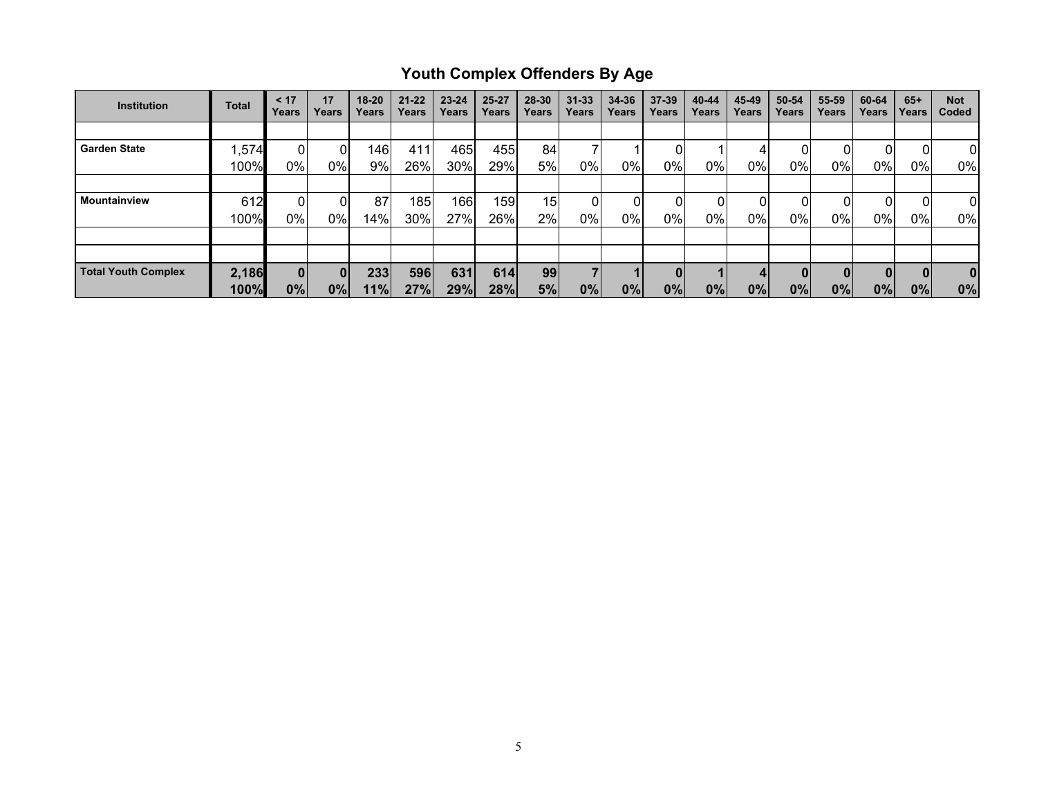# **Youth Complex Offenders By Age**

| <b>Institution</b>         | Total | < 17<br>Years | 17<br>Years  | $18 - 20$<br>Years | $21 - 22$<br>Years | $23 - 24$<br>Years | 25-27<br>Years | 28-30<br>Years | $31 - 33$<br>Years | 34-36<br>Years | $37 - 39$<br>Years | 40-44<br>Years | 45-49<br>Years | $50 - 54$<br>Years | $55 - 59$<br>Years | 60-64<br>Years | $65+$<br>Years | <b>Not</b><br>Coded |
|----------------------------|-------|---------------|--------------|--------------------|--------------------|--------------------|----------------|----------------|--------------------|----------------|--------------------|----------------|----------------|--------------------|--------------------|----------------|----------------|---------------------|
|                            |       |               |              |                    |                    |                    |                |                |                    |                |                    |                |                |                    |                    |                |                |                     |
| <b>Garden State</b>        | .574  | 0             | 01           | 146                | 411                | 465                | 455            | 84             |                    |                |                    |                |                |                    |                    |                | 0              | 01                  |
|                            | 100%  | $0\%$         | $0\%$        | 9%                 | 26%                | 30%                | 29%            | 5%             | 0%                 | 0%             | 0%                 | $0\%$          | 0%             | 0%                 | 0%                 | 0%             | $0\%$          | 0%                  |
|                            |       |               |              |                    |                    |                    |                |                |                    |                |                    |                |                |                    |                    |                |                |                     |
| <b>Mountainview</b>        | 612   | 0             | 01           | 87                 | 185                | 166                | 159            | 15             | 01                 | 01             |                    |                |                |                    |                    |                | $\overline{0}$ | 01                  |
|                            | 100%  | 0%            | 0%           | 14%                | 30%                | 27%                | 26%            | 2%             | 0%                 | 0%             | 0%                 | 0%             | 0%             | 0%                 | 0%                 | 0%             | $0\%$          | 0%                  |
|                            |       |               |              |                    |                    |                    |                |                |                    |                |                    |                |                |                    |                    |                |                |                     |
|                            |       |               |              |                    |                    |                    |                |                |                    |                |                    |                |                |                    |                    |                |                |                     |
| <b>Total Youth Complex</b> | 2,186 | 0             | $\mathbf{0}$ | 233                | 596                | 631                | 614            | 99             |                    |                |                    |                |                |                    |                    |                | 0              | $\bf{0}$            |
|                            | 100%  | 0%            | $ 0\% $      | 11%                | 27%                | 29%                | 28%            | 5%             | 0%                 | 0%             | $0\%$              | 0%             | 0%             | 0%                 | 0%                 | 0%             | 0%             | 0%                  |